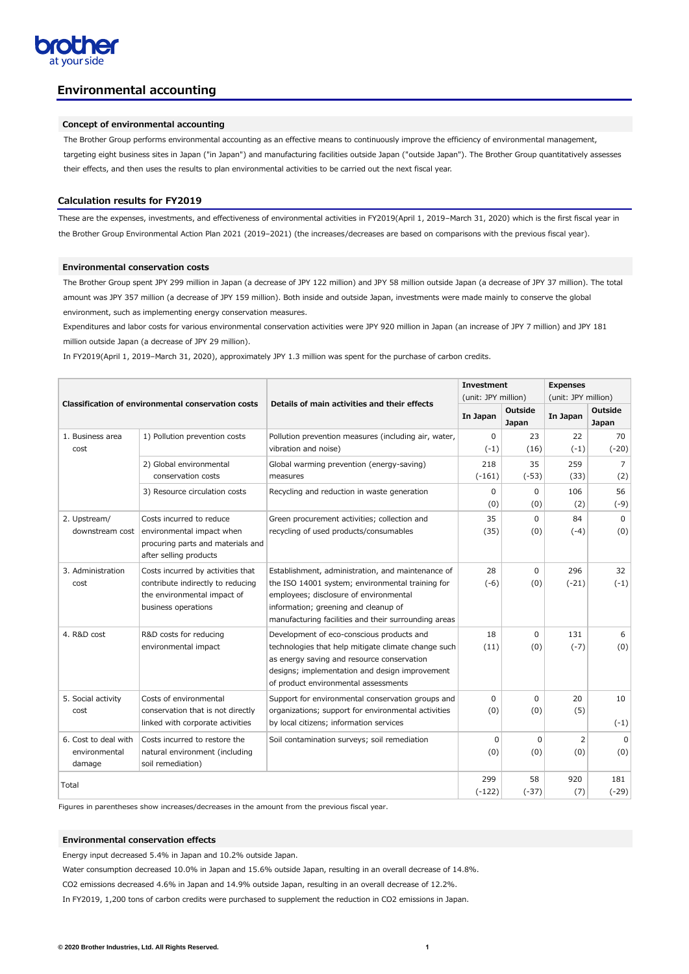

# **Environmental accounting**

# **Concept of environmental accounting**

The Brother Group performs environmental accounting as an effective means to continuously improve the efficiency of environmental management, targeting eight business sites in Japan ("in Japan") and manufacturing facilities outside Japan ("outside Japan"). The Brother Group quantitatively assesses their effects, and then uses the results to plan environmental activities to be carried out the next fiscal year.

# **Calculation results for FY2019**

These are the expenses, investments, and effectiveness of environmental activities in FY2019(April 1, 2019–March 31, 2020) which is the first fiscal year in the Brother Group Environmental Action Plan 2021 (2019–2021) (the increases/decreases are based on comparisons with the previous fiscal year).

## **Environmental conservation costs**

The Brother Group spent JPY 299 million in Japan (a decrease of JPY 122 million) and JPY 58 million outside Japan (a decrease of JPY 37 million). The total amount was JPY 357 million (a decrease of JPY 159 million). Both inside and outside Japan, investments were made mainly to conserve the global environment, such as implementing energy conservation measures.

Expenditures and labor costs for various environmental conservation activities were JPY 920 million in Japan (an increase of JPY 7 million) and JPY 181 million outside Japan (a decrease of JPY 29 million).

In FY2019(April 1, 2019–March 31, 2020), approximately JPY 1.3 million was spent for the purchase of carbon credits.

|                    |                                                           |                                                                                | <b>Investment</b>   |                                | <b>Expenses</b>     |                                |  |
|--------------------|-----------------------------------------------------------|--------------------------------------------------------------------------------|---------------------|--------------------------------|---------------------|--------------------------------|--|
|                    | <b>Classification of environmental conservation costs</b> | Details of main activities and their effects                                   | (unit: JPY million) |                                | (unit: JPY million) |                                |  |
|                    |                                                           |                                                                                | In Japan            | <b>Outside</b><br><b>Japan</b> | In Japan            | <b>Outside</b><br><b>Japan</b> |  |
| 1. Business area   | 1) Pollution prevention costs                             | Pollution prevention measures (including air, water,                           | $\Omega$            | 23                             | 22                  | 70                             |  |
| cost               |                                                           | vibration and noise)                                                           | $(-1)$              | (16)                           | $(-1)$              | $(-20)$                        |  |
|                    | 2) Global environmental                                   | Global warming prevention (energy-saving)                                      | 218                 | 35                             | 259                 | $\overline{7}$                 |  |
|                    | conservation costs                                        | measures                                                                       | $(-161)$            | $(-53)$                        | (33)                | (2)                            |  |
|                    | 3) Resource circulation costs                             | Recycling and reduction in waste generation                                    | 0                   | 0                              | 106                 | 56                             |  |
|                    |                                                           |                                                                                | (0)                 | (0)                            | (2)                 | $(-9)$                         |  |
| 2. Upstream/       | Costs incurred to reduce                                  | Green procurement activities; collection and                                   | 35                  | $\Omega$                       | 84                  | $\mathbf 0$                    |  |
| downstream cost    | environmental impact when                                 | recycling of used products/consumables                                         | (35)                | (0)                            | $(-4)$              | (0)                            |  |
|                    | procuring parts and materials and                         |                                                                                |                     |                                |                     |                                |  |
|                    | after selling products                                    |                                                                                |                     |                                |                     |                                |  |
| 3. Administration  | Costs incurred by activities that                         | Establishment, administration, and maintenance of                              | 28                  | 0                              | 296                 | 32                             |  |
| cost               | contribute indirectly to reducing                         | the ISO 14001 system; environmental training for                               | $(-6)$              | (0)                            | $(-21)$             | $(-1)$                         |  |
|                    | the environmental impact of<br>business operations        | employees; disclosure of environmental<br>information; greening and cleanup of |                     |                                |                     |                                |  |
|                    |                                                           | manufacturing facilities and their surrounding areas                           |                     |                                |                     |                                |  |
| 4. R&D cost        | R&D costs for reducing                                    | Development of eco-conscious products and                                      | 18                  | 0                              | 131                 | 6                              |  |
|                    | environmental impact                                      | technologies that help mitigate climate change such                            | (11)                | (0)                            | $(-7)$              | (0)                            |  |
|                    |                                                           | as energy saving and resource conservation                                     |                     |                                |                     |                                |  |
|                    |                                                           | designs; implementation and design improvement                                 |                     |                                |                     |                                |  |
|                    |                                                           | of product environmental assessments                                           |                     |                                |                     |                                |  |
| 5. Social activity | Costs of environmental                                    | Support for environmental conservation groups and                              | 0                   | $\Omega$                       | 20                  | 10                             |  |
| cost               | conservation that is not directly                         | organizations; support for environmental activities                            | (0)                 | (0)                            | (5)                 |                                |  |
|                    | linked with corporate activities                          | by local citizens; information services                                        |                     |                                |                     | $(-1)$                         |  |

| 6. Cost to deal with | Costs incurred to restore the  | Soil contamination surveys; soil remediation |          |         | <u>_</u> | 0 <sup>1</sup> |
|----------------------|--------------------------------|----------------------------------------------|----------|---------|----------|----------------|
| environmental        | natural environment (including |                                              | (0)      | (0)     | (0)      | (0)            |
| damage               | soil remediation)              |                                              |          |         |          |                |
| Total                |                                |                                              | 299      | 58      | 920      | 181            |
|                      |                                |                                              | $(-122)$ | $(-37)$ | (7)      | $(-29)$        |

Figures in parentheses show increases/decreases in the amount from the previous fiscal year.

# **Environmental conservation effects**

Energy input decreased 5.4% in Japan and 10.2% outside Japan.

Water consumption decreased 10.0% in Japan and 15.6% outside Japan, resulting in an overall decrease of 14.8%.

CO2 emissions decreased 4.6% in Japan and 14.9% outside Japan, resulting in an overall decrease of 12.2%.

In FY2019, 1,200 tons of carbon credits were purchased to supplement the reduction in CO2 emissions in Japan.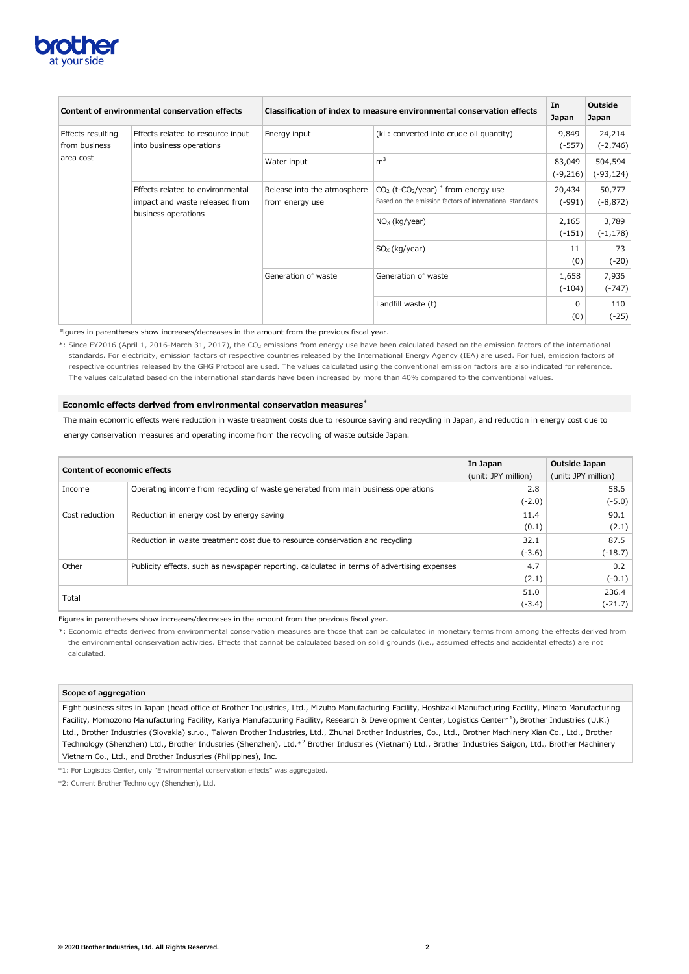

|                                    | Content of environmental conservation effects                      | Classification of index to measure environmental conservation effects | In<br><b>Japan</b>                                                                                              | <b>Outside</b><br>Japan |                         |
|------------------------------------|--------------------------------------------------------------------|-----------------------------------------------------------------------|-----------------------------------------------------------------------------------------------------------------|-------------------------|-------------------------|
| Effects resulting<br>from business | Effects related to resource input<br>into business operations      | Energy input                                                          | (kL: converted into crude oil quantity)                                                                         | 9,849<br>$(-557)$       | 24,214<br>$(-2, 746)$   |
| area cost                          |                                                                    | Water input                                                           | m <sup>3</sup>                                                                                                  | 83,049<br>(-9,216)      | 504,594<br>$(-93, 124)$ |
|                                    | Effects related to environmental<br>impact and waste released from | Release into the atmosphere<br>from energy use                        | $CO2$ (t-CO <sub>2</sub> /year) $*$ from energy use<br>Based on the emission factors of international standards | 20,434<br>$(-991)$      | 50,777<br>$(-8, 872)$   |
|                                    | business operations                                                |                                                                       | $NOx$ (kg/year)                                                                                                 | 2,165<br>$(-151)$       | 3,789<br>$(-1, 178)$    |
|                                    |                                                                    |                                                                       | $SOx$ (kg/year)                                                                                                 | 11<br>(0)               | 73<br>$(-20)$           |
|                                    |                                                                    | Generation of waste                                                   | Generation of waste                                                                                             | 1,658<br>$(-104)$       | 7,936<br>$(-747)$       |
|                                    |                                                                    |                                                                       | Landfill waste (t)                                                                                              | 0<br>(0)                | 110<br>$(-25)$          |

\*: Since FY2016 (April 1, 2016-March 31, 2017), the CO<sub>2</sub> emissions from energy use have been calculated based on the emission factors of the international standards. For electricity, emission factors of respective countries released by the International Energy Agency (IEA) are used. For fuel, emission factors of respective countries released by the GHG Protocol are used. The values calculated using the conventional emission factors are also indicated for reference. The values calculated based on the international standards have been increased by more than 40% compared to the conventional values.

Figures in parentheses show increases/decreases in the amount from the previous fiscal year.

# **Economic effects derived from environmental conservation measures\***

The main economic effects were reduction in waste treatment costs due to resource saving and recycling in Japan, and reduction in energy cost due to energy conservation measures and operating income from the recycling of waste outside Japan.

Technology (Shenzhen) Ltd., Brother Industries (Shenzhen), Ltd.\*<sup>2</sup> Brother Industries (Vietnam) Ltd., Brother Industries Saigon, Ltd., Brother Machinery Vietnam Co., Ltd., and Brother Industries (Philippines), Inc.

| <b>Content of economic effects</b> |                                                                                             | In Japan            | Outside Japan       |  |  |  |
|------------------------------------|---------------------------------------------------------------------------------------------|---------------------|---------------------|--|--|--|
|                                    |                                                                                             | (unit: JPY million) | (unit: JPY million) |  |  |  |
| Income                             | Operating income from recycling of waste generated from main business operations            | 2.8                 | 58.6                |  |  |  |
|                                    |                                                                                             | $(-2.0)$            | $(-5.0)$            |  |  |  |
| Cost reduction                     | Reduction in energy cost by energy saving                                                   | 11.4                | 90.1                |  |  |  |
|                                    |                                                                                             | (0.1)               | (2.1)               |  |  |  |
|                                    | Reduction in waste treatment cost due to resource conservation and recycling                | 32.1                | 87.5                |  |  |  |
|                                    |                                                                                             | $(-3.6)$            | $(-18.7)$           |  |  |  |
| Other                              | Publicity effects, such as newspaper reporting, calculated in terms of advertising expenses | 4.7                 | 0.2                 |  |  |  |
|                                    |                                                                                             | (2.1)               | $(-0.1)$            |  |  |  |
|                                    |                                                                                             | 51.0                | 236.4               |  |  |  |
| Total                              |                                                                                             | $(-3.4)$            | $(-21.7)$           |  |  |  |

Figures in parentheses show increases/decreases in the amount from the previous fiscal year.

\*: Economic effects derived from environmental conservation measures are those that can be calculated in monetary terms from among the effects derived from the environmental conservation activities. Effects that cannot be calculated based on solid grounds (i.e., assumed effects and accidental effects) are not calculated.

### **Scope of aggregation**

Eight business sites in Japan (head office of Brother Industries, Ltd., Mizuho Manufacturing Facility, Hoshizaki Manufacturing Facility, Minato Manufacturing Facility, Momozono Manufacturing Facility, Kariya Manufacturing Facility, Research & Development Center, Logistics Center\*<sup>1</sup>), Brother Industries (U.K.) Ltd., Brother Industries (Slovakia) s.r.o., Taiwan Brother Industries, Ltd., Zhuhai Brother Industries, Co., Ltd., Brother Machinery Xian Co., Ltd., Brother

\*1: For Logistics Center, only "Environmental conservation effects" was aggregated.

\*2: Current Brother Technology (Shenzhen), Ltd.